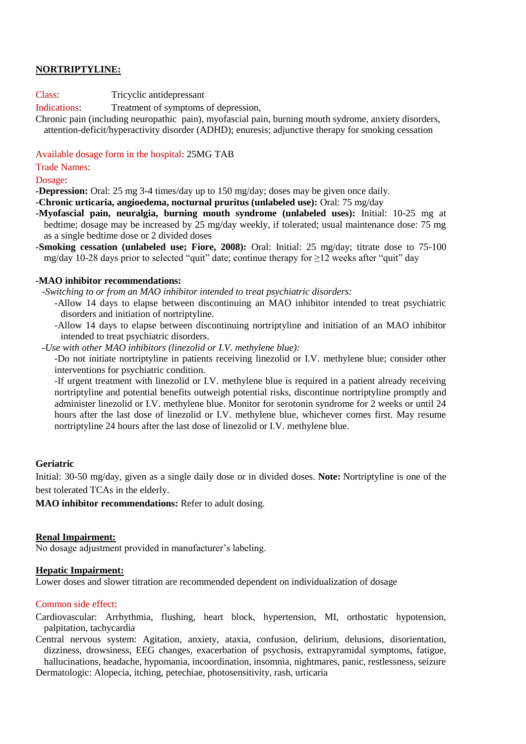# **NORTRIPTYLINE:**

Class: Tricyclic antidepressant

Indications: Treatment of symptoms of depression,

Chronic pain (including neuropathic pain), myofascial pain, burning mouth sydrome, anxiety disorders, attention-deficit/hyperactivity disorder (ADHD); enuresis; adjunctive therapy for smoking cessation

Available dosage form in the hospital: 25MG TAB

Trade Names:

Dosage:

**-Depression:** Oral: 25 mg 3-4 times/day up to 150 mg/day; doses may be given once daily.

**-Chronic urticaria, angioedema, nocturnal pruritus (unlabeled use):** Oral: 75 mg/day

- **-Myofascial pain, neuralgia, burning mouth syndrome (unlabeled uses):** Initial: 10-25 mg at bedtime; dosage may be increased by 25 mg/day weekly, if tolerated; usual maintenance dose: 75 mg as a single bedtime dose or 2 divided doses
- **-Smoking cessation (unlabeled use; Fiore, 2008):** Oral: Initial: 25 mg/day; titrate dose to 75-100 mg/day 10-28 days prior to selected "quit" date; continue therapy for ≥12 weeks after "quit" day

### **-MAO inhibitor recommendations:**

*-Switching to or from an MAO inhibitor intended to treat psychiatric disorders:*

-Allow 14 days to elapse between discontinuing an MAO inhibitor intended to treat psychiatric disorders and initiation of nortriptyline.

-Allow 14 days to elapse between discontinuing nortriptyline and initiation of an MAO inhibitor intended to treat psychiatric disorders.

*-Use with other MAO inhibitors (linezolid or I.V. methylene blue):* 

-Do not initiate nortriptyline in patients receiving linezolid or I.V. methylene blue; consider other interventions for psychiatric condition.

-If urgent treatment with linezolid or I.V. methylene blue is required in a patient already receiving nortriptyline and potential benefits outweigh potential risks, discontinue nortriptyline promptly and administer linezolid or I.V. methylene blue. Monitor for serotonin syndrome for 2 weeks or until 24 hours after the last dose of linezolid or I.V. methylene blue, whichever comes first. May resume nortriptyline 24 hours after the last dose of linezolid or I.V. methylene blue.

# **Geriatric**

Initial: 30-50 mg/day, given as a single daily dose or in divided doses. **Note:** Nortriptyline is one of the best tolerated TCAs in the elderly.

**MAO inhibitor recommendations:** Refer to adult dosing.

#### **Renal Impairment:**

No dosage adjustment provided in manufacturer's labeling.

# **Hepatic Impairment:**

Lower doses and slower titration are recommended dependent on individualization of dosage

# Common side effect:

Cardiovascular: Arrhythmia, flushing, heart block, hypertension, MI, orthostatic hypotension, palpitation, tachycardia

Central nervous system: Agitation, anxiety, ataxia, confusion, delirium, delusions, disorientation, dizziness, drowsiness, EEG changes, exacerbation of psychosis, extrapyramidal symptoms, fatigue, hallucinations, headache, hypomania, incoordination, insomnia, nightmares, panic, restlessness, seizure Dermatologic: Alopecia, itching, petechiae, photosensitivity, rash, urticaria